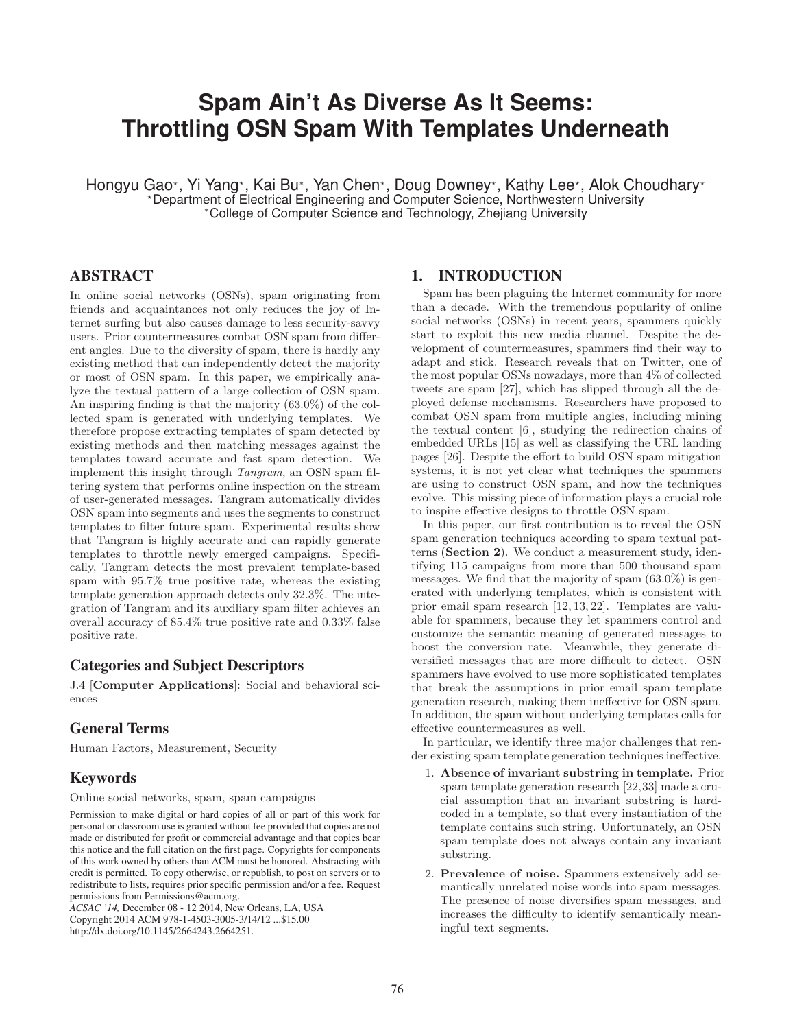# **Spam Ain't As Diverse As It Seems: Throttling OSN Spam With Templates Underneath**

Hongyu Gao\*, Yi Yang\*, Kai Bu\*, Yan Chen\*, Doug Downey\*, Kathy Lee\*, Alok Choudhary\* -Department of Electrical Engineering and Computer Science, Northwestern University <sup>∗</sup>College of Computer Science and Technology, Zhejiang University

## **ABSTRACT**

In online social networks (OSNs), spam originating from friends and acquaintances not only reduces the joy of Internet surfing but also causes damage to less security-savvy users. Prior countermeasures combat OSN spam from different angles. Due to the diversity of spam, there is hardly any existing method that can independently detect the majority or most of OSN spam. In this paper, we empirically analyze the textual pattern of a large collection of OSN spam. An inspiring finding is that the majority (63.0%) of the collected spam is generated with underlying templates. We therefore propose extracting templates of spam detected by existing methods and then matching messages against the templates toward accurate and fast spam detection. We implement this insight through Tangram, an OSN spam filtering system that performs online inspection on the stream of user-generated messages. Tangram automatically divides OSN spam into segments and uses the segments to construct templates to filter future spam. Experimental results show that Tangram is highly accurate and can rapidly generate templates to throttle newly emerged campaigns. Specifically, Tangram detects the most prevalent template-based spam with 95.7% true positive rate, whereas the existing template generation approach detects only 32.3%. The integration of Tangram and its auxiliary spam filter achieves an overall accuracy of 85.4% true positive rate and 0.33% false positive rate.

## **Categories and Subject Descriptors**

J.4 [**Computer Applications**]: Social and behavioral sciences

# **General Terms**

Human Factors, Measurement, Security

## **Keywords**

Online social networks, spam, spam campaigns

Permission to make digital or hard copies of all or part of this work for personal or classroom use is granted without fee provided that copies are not made or distributed for profit or commercial advantage and that copies bear this notice and the full citation on the first page. Copyrights for components of this work owned by others than ACM must be honored. Abstracting with credit is permitted. To copy otherwise, or republish, to post on servers or to redistribute to lists, requires prior specific permission and/or a fee. Request permissions from Permissions@acm.org.

*ACSAC '14,* December 08 - 12 2014, New Orleans, LA, USA Copyright 2014 ACM 978-1-4503-3005-3/14/12 ...\$15.00 http://dx.doi.org/10.1145/2664243.2664251.

#### **1. INTRODUCTION**

Spam has been plaguing the Internet community for more than a decade. With the tremendous popularity of online social networks (OSNs) in recent years, spammers quickly start to exploit this new media channel. Despite the development of countermeasures, spammers find their way to adapt and stick. Research reveals that on Twitter, one of the most popular OSNs nowadays, more than 4% of collected tweets are spam [27], which has slipped through all the deployed defense mechanisms. Researchers have proposed to combat OSN spam from multiple angles, including mining the textual content [6], studying the redirection chains of embedded URLs [15] as well as classifying the URL landing pages [26]. Despite the effort to build OSN spam mitigation systems, it is not yet clear what techniques the spammers are using to construct OSN spam, and how the techniques evolve. This missing piece of information plays a crucial role to inspire effective designs to throttle OSN spam.

In this paper, our first contribution is to reveal the OSN spam generation techniques according to spam textual patterns (**Section 2**). We conduct a measurement study, identifying 115 campaigns from more than 500 thousand spam messages. We find that the majority of spam (63.0%) is generated with underlying templates, which is consistent with prior email spam research [12, 13, 22]. Templates are valuable for spammers, because they let spammers control and customize the semantic meaning of generated messages to boost the conversion rate. Meanwhile, they generate diversified messages that are more difficult to detect. OSN spammers have evolved to use more sophisticated templates that break the assumptions in prior email spam template generation research, making them ineffective for OSN spam. In addition, the spam without underlying templates calls for effective countermeasures as well.

In particular, we identify three major challenges that render existing spam template generation techniques ineffective.

- 1. **Absence of invariant substring in template.** Prior spam template generation research [22,33] made a crucial assumption that an invariant substring is hardcoded in a template, so that every instantiation of the template contains such string. Unfortunately, an OSN spam template does not always contain any invariant substring.
- 2. **Prevalence of noise.** Spammers extensively add semantically unrelated noise words into spam messages. The presence of noise diversifies spam messages, and increases the difficulty to identify semantically meaningful text segments.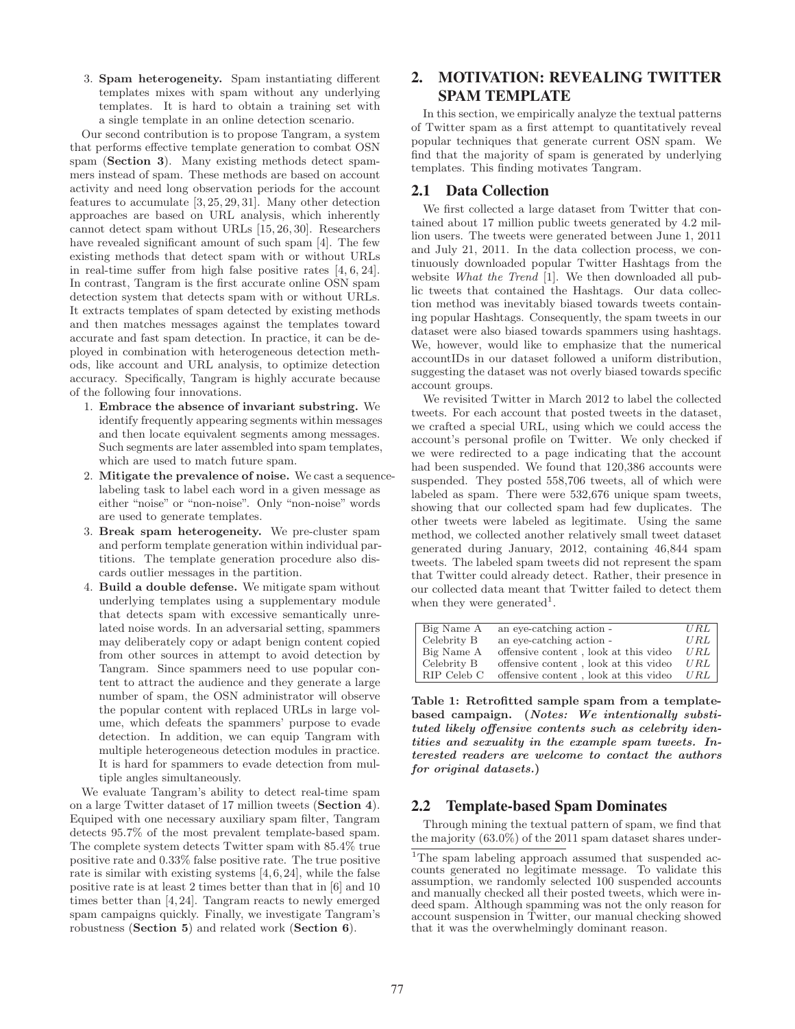3. **Spam heterogeneity.** Spam instantiating different templates mixes with spam without any underlying templates. It is hard to obtain a training set with a single template in an online detection scenario.

Our second contribution is to propose Tangram, a system that performs effective template generation to combat OSN spam (**Section 3**). Many existing methods detect spammers instead of spam. These methods are based on account activity and need long observation periods for the account features to accumulate [3, 25, 29, 31]. Many other detection approaches are based on URL analysis, which inherently cannot detect spam without URLs [15, 26, 30]. Researchers have revealed significant amount of such spam [4]. The few existing methods that detect spam with or without URLs in real-time suffer from high false positive rates [4, 6, 24]. In contrast, Tangram is the first accurate online OSN spam detection system that detects spam with or without URLs. It extracts templates of spam detected by existing methods and then matches messages against the templates toward accurate and fast spam detection. In practice, it can be deployed in combination with heterogeneous detection methods, like account and URL analysis, to optimize detection accuracy. Specifically, Tangram is highly accurate because of the following four innovations.

- 1. **Embrace the absence of invariant substring.** We identify frequently appearing segments within messages and then locate equivalent segments among messages. Such segments are later assembled into spam templates, which are used to match future spam.
- 2. **Mitigate the prevalence of noise.** We cast a sequencelabeling task to label each word in a given message as either "noise" or "non-noise". Only "non-noise" words are used to generate templates.
- 3. **Break spam heterogeneity.** We pre-cluster spam and perform template generation within individual partitions. The template generation procedure also discards outlier messages in the partition.
- 4. **Build a double defense.** We mitigate spam without underlying templates using a supplementary module that detects spam with excessive semantically unrelated noise words. In an adversarial setting, spammers may deliberately copy or adapt benign content copied from other sources in attempt to avoid detection by Tangram. Since spammers need to use popular content to attract the audience and they generate a large number of spam, the OSN administrator will observe the popular content with replaced URLs in large volume, which defeats the spammers' purpose to evade detection. In addition, we can equip Tangram with multiple heterogeneous detection modules in practice. It is hard for spammers to evade detection from multiple angles simultaneously.

We evaluate Tangram's ability to detect real-time spam on a large Twitter dataset of 17 million tweets (**Section 4**). Equiped with one necessary auxiliary spam filter, Tangram detects 95.7% of the most prevalent template-based spam. The complete system detects Twitter spam with 85.4% true positive rate and 0.33% false positive rate. The true positive rate is similar with existing systems [4, 6, 24], while the false positive rate is at least 2 times better than that in [6] and 10 times better than [4, 24]. Tangram reacts to newly emerged spam campaigns quickly. Finally, we investigate Tangram's robustness (**Section 5**) and related work (**Section 6**).

# **2. MOTIVATION: REVEALING TWITTER SPAM TEMPLATE**

In this section, we empirically analyze the textual patterns of Twitter spam as a first attempt to quantitatively reveal popular techniques that generate current OSN spam. We find that the majority of spam is generated by underlying templates. This finding motivates Tangram.

## **2.1 Data Collection**

We first collected a large dataset from Twitter that contained about 17 million public tweets generated by 4.2 million users. The tweets were generated between June 1, 2011 and July 21, 2011. In the data collection process, we continuously downloaded popular Twitter Hashtags from the website What the Trend [1]. We then downloaded all public tweets that contained the Hashtags. Our data collection method was inevitably biased towards tweets containing popular Hashtags. Consequently, the spam tweets in our dataset were also biased towards spammers using hashtags. We, however, would like to emphasize that the numerical accountIDs in our dataset followed a uniform distribution, suggesting the dataset was not overly biased towards specific account groups.

We revisited Twitter in March 2012 to label the collected tweets. For each account that posted tweets in the dataset, we crafted a special URL, using which we could access the account's personal profile on Twitter. We only checked if we were redirected to a page indicating that the account had been suspended. We found that 120,386 accounts were suspended. They posted 558,706 tweets, all of which were labeled as spam. There were 532,676 unique spam tweets, showing that our collected spam had few duplicates. The other tweets were labeled as legitimate. Using the same method, we collected another relatively small tweet dataset generated during January, 2012, containing 46,844 spam tweets. The labeled spam tweets did not represent the spam that Twitter could already detect. Rather, their presence in our collected data meant that Twitter failed to detect them when they were generated<sup>1</sup>.

| Big Name A  | an eye-catching action -              | URL |
|-------------|---------------------------------------|-----|
| Celebrity B | an eye-catching action -              | URL |
| Big Name A  | offensive content, look at this video | URL |
| Celebrity B | offensive content, look at this video | URL |
| RIP Celeb C | offensive content, look at this video | URL |

**Table 1: Retrofitted sample spam from a templatebased campaign. (Notes: We intentionally substituted likely offensive contents such as celebrity identities and sexuality in the example spam tweets. Interested readers are welcome to contact the authors for original datasets.)**

## **2.2 Template-based Spam Dominates**

Through mining the textual pattern of spam, we find that the majority (63.0%) of the 2011 spam dataset shares under-

<sup>&</sup>lt;sup>1</sup>The spam labeling approach assumed that suspended accounts generated no legitimate message. To validate this assumption, we randomly selected 100 suspended accounts and manually checked all their posted tweets, which were indeed spam. Although spamming was not the only reason for account suspension in Twitter, our manual checking showed that it was the overwhelmingly dominant reason.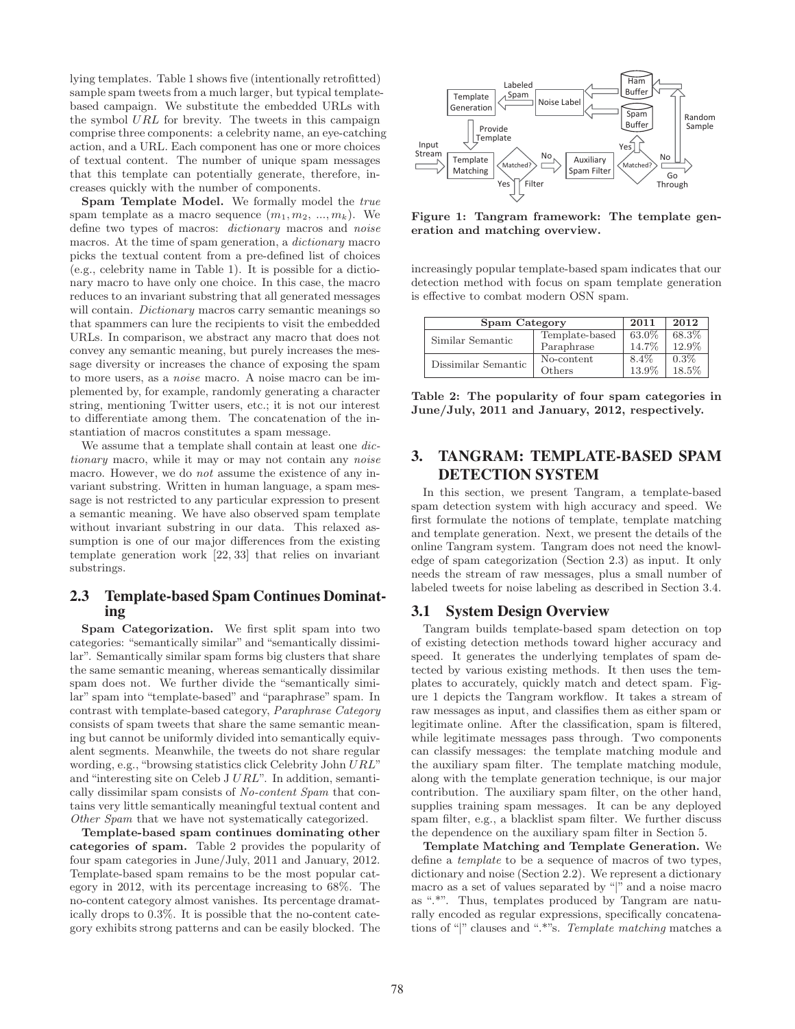lying templates. Table 1 shows five (intentionally retrofitted) sample spam tweets from a much larger, but typical templatebased campaign. We substitute the embedded URLs with the symbol URL for brevity. The tweets in this campaign comprise three components: a celebrity name, an eye-catching action, and a URL. Each component has one or more choices of textual content. The number of unique spam messages that this template can potentially generate, therefore, increases quickly with the number of components.

**Spam Template Model.** We formally model the true spam template as a macro sequence  $(m_1, m_2, ..., m_k)$ . We define two types of macros: dictionary macros and noise macros. At the time of spam generation, a dictionary macro picks the textual content from a pre-defined list of choices (e.g., celebrity name in Table 1). It is possible for a dictionary macro to have only one choice. In this case, the macro reduces to an invariant substring that all generated messages will contain. *Dictionary* macros carry semantic meanings so that spammers can lure the recipients to visit the embedded URLs. In comparison, we abstract any macro that does not convey any semantic meaning, but purely increases the message diversity or increases the chance of exposing the spam to more users, as a *noise* macro. A noise macro can be implemented by, for example, randomly generating a character string, mentioning Twitter users, etc.; it is not our interest to differentiate among them. The concatenation of the instantiation of macros constitutes a spam message.

We assume that a template shall contain at least one dictionary macro, while it may or may not contain any noise macro. However, we do *not* assume the existence of any invariant substring. Written in human language, a spam message is not restricted to any particular expression to present a semantic meaning. We have also observed spam template without invariant substring in our data. This relaxed assumption is one of our major differences from the existing template generation work [22, 33] that relies on invariant substrings.

## **2.3 Template-based Spam Continues Dominating**

**Spam Categorization.** We first split spam into two categories: "semantically similar" and "semantically dissimilar". Semantically similar spam forms big clusters that share the same semantic meaning, whereas semantically dissimilar spam does not. We further divide the "semantically similar" spam into "template-based" and "paraphrase" spam. In contrast with template-based category, Paraphrase Category consists of spam tweets that share the same semantic meaning but cannot be uniformly divided into semantically equivalent segments. Meanwhile, the tweets do not share regular wording, e.g., "browsing statistics click Celebrity John URL" and "interesting site on Celeb J URL". In addition, semantically dissimilar spam consists of No-content Spam that contains very little semantically meaningful textual content and Other Spam that we have not systematically categorized.

**Template-based spam continues dominating other categories of spam.** Table 2 provides the popularity of four spam categories in June/July, 2011 and January, 2012. Template-based spam remains to be the most popular category in 2012, with its percentage increasing to 68%. The no-content category almost vanishes. Its percentage dramatically drops to 0.3%. It is possible that the no-content category exhibits strong patterns and can be easily blocked. The



**Figure 1: Tangram framework: The template generation and matching overview.**

increasingly popular template-based spam indicates that our detection method with focus on spam template generation is effective to combat modern OSN spam.

| Spam Category       | 2011           | 2012    |         |
|---------------------|----------------|---------|---------|
| Similar Semantic    | Template-based | 63.0%   | 68.3%   |
|                     | Paraphrase     | 14.7%   | 12.9%   |
| Dissimilar Semantic | No-content     | $8.4\%$ | $0.3\%$ |
|                     | Others         | 13.9%   | 18.5%   |

**Table 2: The popularity of four spam categories in June/July, 2011 and January, 2012, respectively.**

# **3. TANGRAM: TEMPLATE-BASED SPAM DETECTION SYSTEM**

In this section, we present Tangram, a template-based spam detection system with high accuracy and speed. We first formulate the notions of template, template matching and template generation. Next, we present the details of the online Tangram system. Tangram does not need the knowledge of spam categorization (Section 2.3) as input. It only needs the stream of raw messages, plus a small number of labeled tweets for noise labeling as described in Section 3.4.

## **3.1 System Design Overview**

Tangram builds template-based spam detection on top of existing detection methods toward higher accuracy and speed. It generates the underlying templates of spam detected by various existing methods. It then uses the templates to accurately, quickly match and detect spam. Figure 1 depicts the Tangram workflow. It takes a stream of raw messages as input, and classifies them as either spam or legitimate online. After the classification, spam is filtered, while legitimate messages pass through. Two components can classify messages: the template matching module and the auxiliary spam filter. The template matching module, along with the template generation technique, is our major contribution. The auxiliary spam filter, on the other hand, supplies training spam messages. It can be any deployed spam filter, e.g., a blacklist spam filter. We further discuss the dependence on the auxiliary spam filter in Section 5.

**Template Matching and Template Generation.** We define a template to be a sequence of macros of two types, dictionary and noise (Section 2.2). We represent a dictionary macro as a set of values separated by "|" and a noise macro as ".\*". Thus, templates produced by Tangram are naturally encoded as regular expressions, specifically concatenations of "|" clauses and ".\*"s. Template matching matches a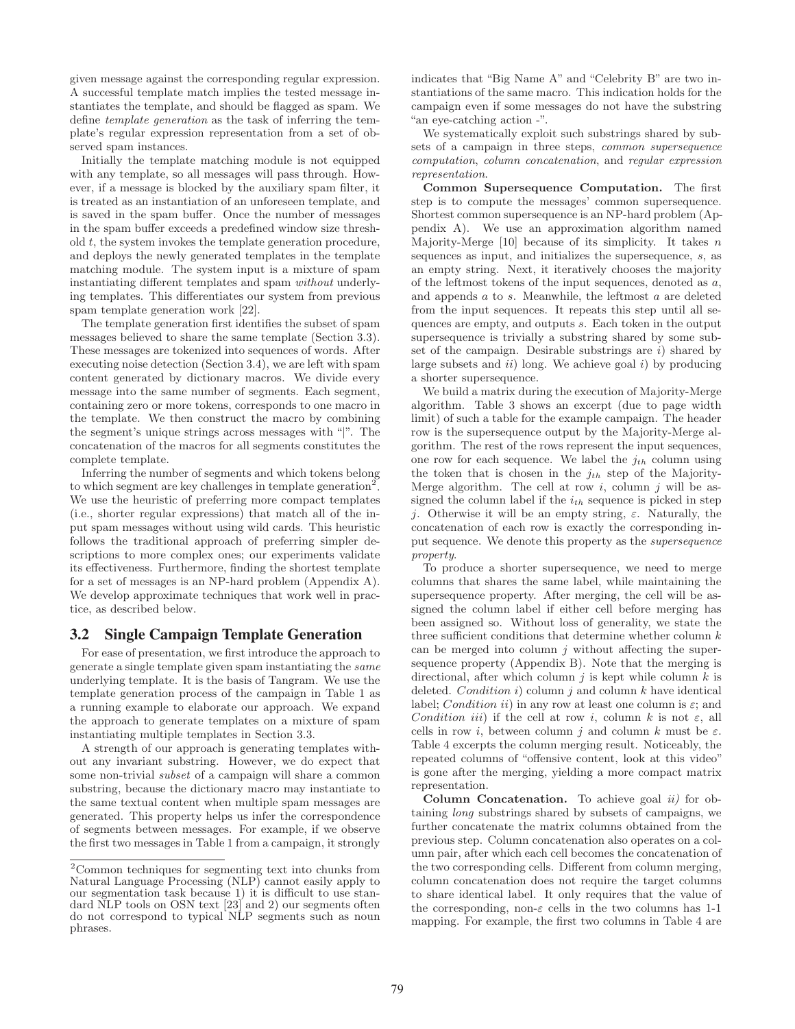given message against the corresponding regular expression. A successful template match implies the tested message instantiates the template, and should be flagged as spam. We define template generation as the task of inferring the template's regular expression representation from a set of observed spam instances.

Initially the template matching module is not equipped with any template, so all messages will pass through. However, if a message is blocked by the auxiliary spam filter, it is treated as an instantiation of an unforeseen template, and is saved in the spam buffer. Once the number of messages in the spam buffer exceeds a predefined window size threshold t, the system invokes the template generation procedure, and deploys the newly generated templates in the template matching module. The system input is a mixture of spam instantiating different templates and spam without underlying templates. This differentiates our system from previous spam template generation work [22].

The template generation first identifies the subset of spam messages believed to share the same template (Section 3.3). These messages are tokenized into sequences of words. After executing noise detection (Section 3.4), we are left with spam content generated by dictionary macros. We divide every message into the same number of segments. Each segment, containing zero or more tokens, corresponds to one macro in the template. We then construct the macro by combining the segment's unique strings across messages with "|". The concatenation of the macros for all segments constitutes the complete template.

Inferring the number of segments and which tokens belong to which segment are key challenges in template generation<sup>2</sup>. We use the heuristic of preferring more compact templates (i.e., shorter regular expressions) that match all of the input spam messages without using wild cards. This heuristic follows the traditional approach of preferring simpler descriptions to more complex ones; our experiments validate its effectiveness. Furthermore, finding the shortest template for a set of messages is an NP-hard problem (Appendix A). We develop approximate techniques that work well in practice, as described below.

#### **3.2 Single Campaign Template Generation**

For ease of presentation, we first introduce the approach to generate a single template given spam instantiating the same underlying template. It is the basis of Tangram. We use the template generation process of the campaign in Table 1 as a running example to elaborate our approach. We expand the approach to generate templates on a mixture of spam instantiating multiple templates in Section 3.3.

A strength of our approach is generating templates without any invariant substring. However, we do expect that some non-trivial subset of a campaign will share a common substring, because the dictionary macro may instantiate to the same textual content when multiple spam messages are generated. This property helps us infer the correspondence of segments between messages. For example, if we observe the first two messages in Table 1 from a campaign, it strongly

indicates that "Big Name A" and "Celebrity B" are two instantiations of the same macro. This indication holds for the campaign even if some messages do not have the substring "an eye-catching action -".

We systematically exploit such substrings shared by subsets of a campaign in three steps, common supersequence computation, column concatenation, and regular expression representation.

**Common Supersequence Computation.** The first step is to compute the messages' common supersequence. Shortest common supersequence is an NP-hard problem (Appendix A). We use an approximation algorithm named Majority-Merge  $[10]$  because of its simplicity. It takes n sequences as input, and initializes the supersequence, s, as an empty string. Next, it iteratively chooses the majority of the leftmost tokens of the input sequences, denoted as a, and appends a to s. Meanwhile, the leftmost a are deleted from the input sequences. It repeats this step until all sequences are empty, and outputs s. Each token in the output supersequence is trivially a substring shared by some subset of the campaign. Desirable substrings are  $i$ ) shared by large subsets and  $ii)$  long. We achieve goal  $i)$  by producing a shorter supersequence.

We build a matrix during the execution of Majority-Merge algorithm. Table 3 shows an excerpt (due to page width limit) of such a table for the example campaign. The header row is the supersequence output by the Majority-Merge algorithm. The rest of the rows represent the input sequences, one row for each sequence. We label the  $j_{th}$  column using the token that is chosen in the  $j_{th}$  step of the Majority-Merge algorithm. The cell at row  $i$ , column  $j$  will be assigned the column label if the  $i_{th}$  sequence is picked in step j. Otherwise it will be an empty string,  $\varepsilon$ . Naturally, the concatenation of each row is exactly the corresponding input sequence. We denote this property as the supersequence property.

To produce a shorter supersequence, we need to merge columns that shares the same label, while maintaining the supersequence property. After merging, the cell will be assigned the column label if either cell before merging has been assigned so. Without loss of generality, we state the three sufficient conditions that determine whether column  $k$ can be merged into column  $j$  without affecting the supersequence property (Appendix B). Note that the merging is directional, after which column  $j$  is kept while column  $k$  is deleted. Condition i) column j and column  $k$  have identical label; Condition ii) in any row at least one column is  $\varepsilon$ ; and Condition iii) if the cell at row i, column k is not  $\varepsilon$ , all cells in row *i*, between column *j* and column k must be  $\varepsilon$ . Table 4 excerpts the column merging result. Noticeably, the repeated columns of "offensive content, look at this video" is gone after the merging, yielding a more compact matrix representation.

**Column Concatenation.** To achieve goal ii) for obtaining long substrings shared by subsets of campaigns, we further concatenate the matrix columns obtained from the previous step. Column concatenation also operates on a column pair, after which each cell becomes the concatenation of the two corresponding cells. Different from column merging, column concatenation does not require the target columns to share identical label. It only requires that the value of the corresponding, non- $\varepsilon$  cells in the two columns has 1-1 mapping. For example, the first two columns in Table 4 are

<sup>2</sup>Common techniques for segmenting text into chunks from Natural Language Processing (NLP) cannot easily apply to our segmentation task because 1) it is difficult to use standard NLP tools on OSN text [23] and 2) our segments often do not correspond to typical NLP segments such as noun phrases.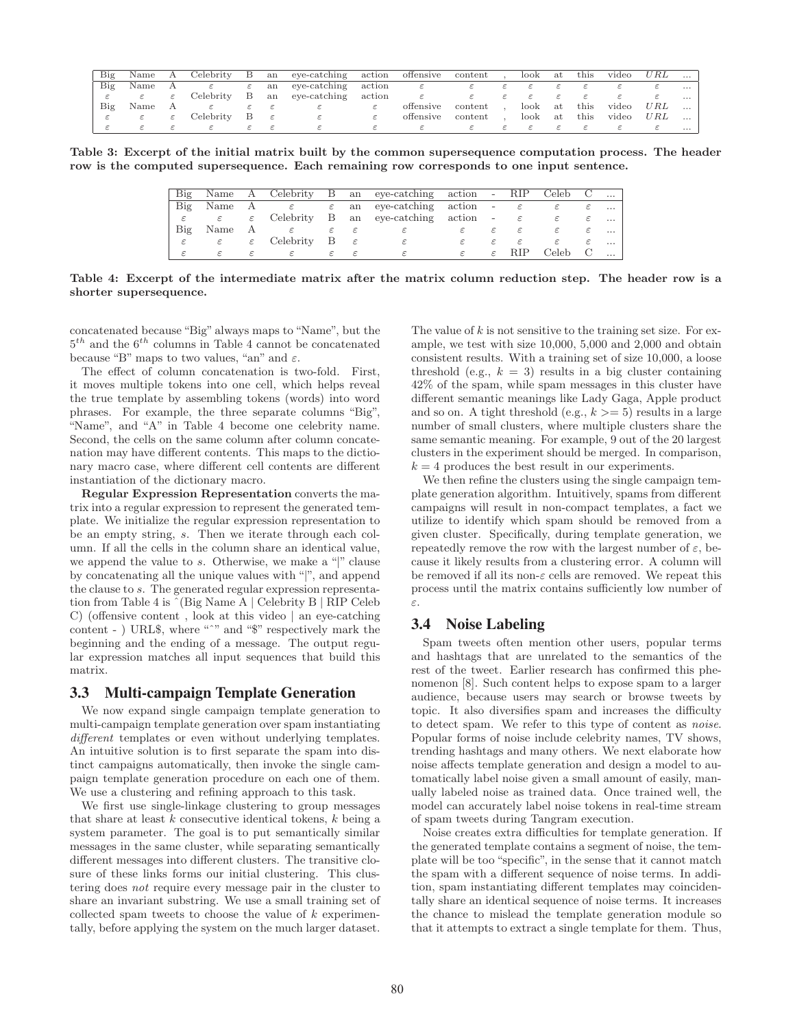| Big | Name | A             | Celebrity | B   | an            | eye-catching action |        | offensive | content | look | at   | this    | video | URL | $\cdots$ |
|-----|------|---------------|-----------|-----|---------------|---------------------|--------|-----------|---------|------|------|---------|-------|-----|----------|
| Big | Name | $\mathbf{A}$  |           | ε   | an            | eye-catching action |        | ε         |         |      |      |         |       |     | $\cdots$ |
|     |      | $\varepsilon$ | Celebrity | B   | an            | eye-catching        | action | ε         |         |      |      |         |       |     | $\cdots$ |
| Big | Name |               |           |     |               |                     |        | offensive | content | look |      | at this | video | URL | $\cdots$ |
|     |      | ε             | Celebrity | - B | $\varepsilon$ | $\varepsilon$       |        | offensive | content | look | at . | this    | video | URL | $\cdots$ |
|     |      |               |           |     |               |                     |        |           |         |      |      |         |       |     | $\cdots$ |

**Table 3: Excerpt of the initial matrix built by the common supersequence computation process. The header row is the computed supersequence. Each remaining row corresponds to one input sentence.**

| Big           |                                 |               |                                         |               |                | Name A Celebrity B an eye-catching action - RIP Celeb C              |    |               |                           |               |          |
|---------------|---------------------------------|---------------|-----------------------------------------|---------------|----------------|----------------------------------------------------------------------|----|---------------|---------------------------|---------------|----------|
| Big           | Name                            |               |                                         |               |                | A $\varepsilon$ $\varepsilon$ an eye-catching action - $\varepsilon$ |    |               |                           | $\varepsilon$ | $\cdots$ |
| $\varepsilon$ | $\varepsilon$ and $\varepsilon$ |               |                                         |               |                | $\varepsilon$ Celebrity B an eye-catching action                     |    |               | $-\epsilon$ $\varepsilon$ | $\varepsilon$ | $\cdots$ |
| Big           | Name                            | A             | ε                                       | $\varepsilon$ | $-\varepsilon$ |                                                                      |    | $\varepsilon$ | $\varepsilon$             | $\varepsilon$ | $\cdots$ |
| $\varepsilon$ | $\varepsilon$ and $\varepsilon$ |               | $\varepsilon$ Celebrity B $\varepsilon$ |               |                |                                                                      | ε  | $\varepsilon$ | ε                         | $\varepsilon$ | $\cdots$ |
|               | ε                               | $\varepsilon$ |                                         |               |                |                                                                      | E. |               | $\varepsilon$ RIP         | Celeb C       |          |

**Table 4: Excerpt of the intermediate matrix after the matrix column reduction step. The header row is a shorter supersequence.**

concatenated because "Big" always maps to "Name", but the  $5<sup>th</sup>$  and the  $6<sup>th</sup>$  columns in Table 4 cannot be concatenated because "B" maps to two values, "an" and  $\varepsilon$ .

The effect of column concatenation is two-fold. First, it moves multiple tokens into one cell, which helps reveal the true template by assembling tokens (words) into word phrases. For example, the three separate columns "Big", "Name", and "A" in Table 4 become one celebrity name. Second, the cells on the same column after column concatenation may have different contents. This maps to the dictionary macro case, where different cell contents are different instantiation of the dictionary macro.

**Regular Expression Representation** converts the matrix into a regular expression to represent the generated template. We initialize the regular expression representation to be an empty string, s. Then we iterate through each column. If all the cells in the column share an identical value, we append the value to s. Otherwise, we make a "|" clause by concatenating all the unique values with "|", and append the clause to s. The generated regular expression representation from Table 4 is ˆ(Big Name A | Celebrity B | RIP Celeb C) (offensive content , look at this video | an eye-catching content - ) URL\$, where "<sup>^</sup>" and "\$" respectively mark the beginning and the ending of a message. The output regular expression matches all input sequences that build this matrix.

### **3.3 Multi-campaign Template Generation**

We now expand single campaign template generation to multi-campaign template generation over spam instantiating different templates or even without underlying templates. An intuitive solution is to first separate the spam into distinct campaigns automatically, then invoke the single campaign template generation procedure on each one of them. We use a clustering and refining approach to this task.

We first use single-linkage clustering to group messages that share at least  $k$  consecutive identical tokens,  $k$  being a system parameter. The goal is to put semantically similar messages in the same cluster, while separating semantically different messages into different clusters. The transitive closure of these links forms our initial clustering. This clustering does not require every message pair in the cluster to share an invariant substring. We use a small training set of collected spam tweets to choose the value of  $k$  experimentally, before applying the system on the much larger dataset.

The value of  $k$  is not sensitive to the training set size. For example, we test with size 10,000, 5,000 and 2,000 and obtain consistent results. With a training set of size 10,000, a loose threshold (e.g.,  $k = 3$ ) results in a big cluster containing 42% of the spam, while spam messages in this cluster have different semantic meanings like Lady Gaga, Apple product and so on. A tight threshold (e.g.,  $k \geq 5$ ) results in a large number of small clusters, where multiple clusters share the same semantic meaning. For example, 9 out of the 20 largest clusters in the experiment should be merged. In comparison,  $k = 4$  produces the best result in our experiments.

We then refine the clusters using the single campaign template generation algorithm. Intuitively, spams from different campaigns will result in non-compact templates, a fact we utilize to identify which spam should be removed from a given cluster. Specifically, during template generation, we repeatedly remove the row with the largest number of  $\varepsilon$ , because it likely results from a clustering error. A column will be removed if all its non- $\varepsilon$  cells are removed. We repeat this process until the matrix contains sufficiently low number of ε.

#### **3.4 Noise Labeling**

Spam tweets often mention other users, popular terms and hashtags that are unrelated to the semantics of the rest of the tweet. Earlier research has confirmed this phenomenon [8]. Such content helps to expose spam to a larger audience, because users may search or browse tweets by topic. It also diversifies spam and increases the difficulty to detect spam. We refer to this type of content as noise. Popular forms of noise include celebrity names, TV shows, trending hashtags and many others. We next elaborate how noise affects template generation and design a model to automatically label noise given a small amount of easily, manually labeled noise as trained data. Once trained well, the model can accurately label noise tokens in real-time stream of spam tweets during Tangram execution.

Noise creates extra difficulties for template generation. If the generated template contains a segment of noise, the template will be too "specific", in the sense that it cannot match the spam with a different sequence of noise terms. In addition, spam instantiating different templates may coincidentally share an identical sequence of noise terms. It increases the chance to mislead the template generation module so that it attempts to extract a single template for them. Thus,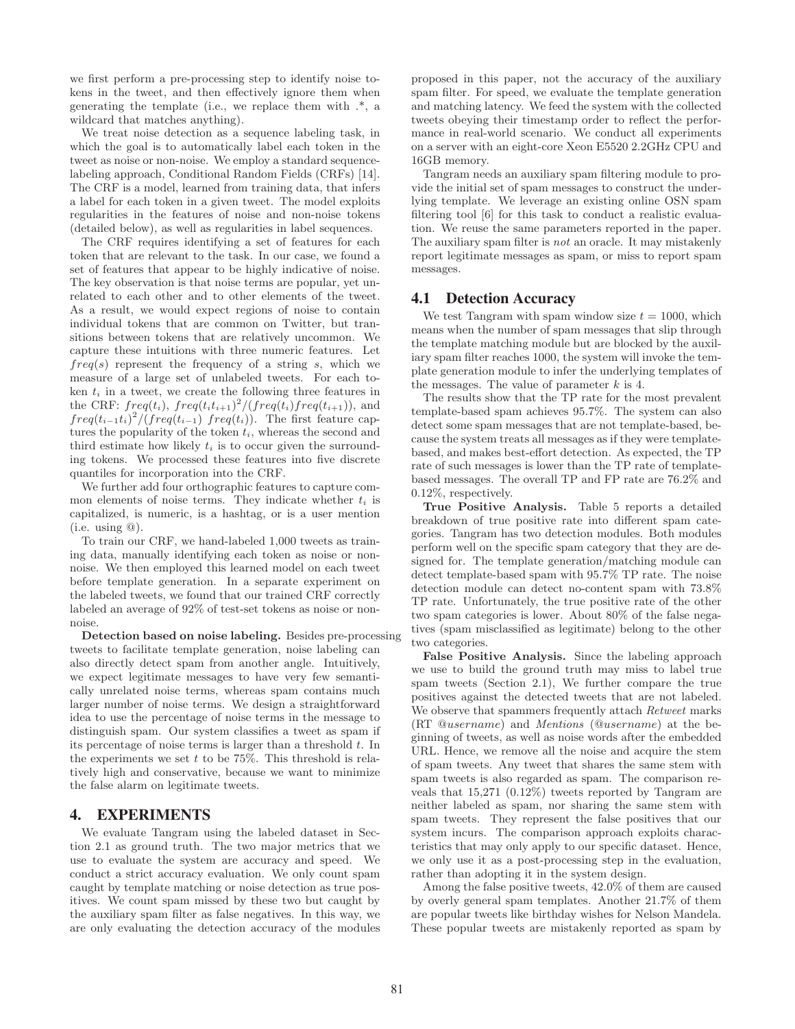we first perform a pre-processing step to identify noise tokens in the tweet, and then effectively ignore them when generating the template (i.e., we replace them with .\*, a wildcard that matches anything).

We treat noise detection as a sequence labeling task, in which the goal is to automatically label each token in the tweet as noise or non-noise. We employ a standard sequencelabeling approach, Conditional Random Fields (CRFs) [14]. The CRF is a model, learned from training data, that infers a label for each token in a given tweet. The model exploits regularities in the features of noise and non-noise tokens (detailed below), as well as regularities in label sequences.

The CRF requires identifying a set of features for each token that are relevant to the task. In our case, we found a set of features that appear to be highly indicative of noise. The key observation is that noise terms are popular, yet unrelated to each other and to other elements of the tweet. As a result, we would expect regions of noise to contain individual tokens that are common on Twitter, but transitions between tokens that are relatively uncommon. We capture these intuitions with three numeric features. Let  $freq(s)$  represent the frequency of a string s, which we measure of a large set of unlabeled tweets. For each token  $t_i$  in a tweet, we create the following three features in the CRF:  $freq(t_i)$ ,  $freq(t_it_{i+1})^2/(freq(t_i)freq(t_{i+1}))$ , and  $freq(t_{i-1}t_i)^2/(\overline{freq}(t_{i-1})\ \overline{freq}(t_i))$ . The first feature captures the popularity of the token  $t_i$ , whereas the second and third estimate how likely  $t_i$  is to occur given the surrounding tokens. We processed these features into five discrete quantiles for incorporation into the CRF.

We further add four orthographic features to capture common elements of noise terms. They indicate whether  $t_i$  is capitalized, is numeric, is a hashtag, or is a user mention  $(i.e. using  $\textcircled{a})$ .$ 

To train our CRF, we hand-labeled 1,000 tweets as training data, manually identifying each token as noise or nonnoise. We then employed this learned model on each tweet before template generation. In a separate experiment on the labeled tweets, we found that our trained CRF correctly labeled an average of 92% of test-set tokens as noise or nonnoise.

**Detection based on noise labeling.** Besides pre-processing tweets to facilitate template generation, noise labeling can also directly detect spam from another angle. Intuitively, we expect legitimate messages to have very few semantically unrelated noise terms, whereas spam contains much larger number of noise terms. We design a straightforward idea to use the percentage of noise terms in the message to distinguish spam. Our system classifies a tweet as spam if its percentage of noise terms is larger than a threshold  $t$ . In the experiments we set  $t$  to be 75%. This threshold is relatively high and conservative, because we want to minimize the false alarm on legitimate tweets.

## **4. EXPERIMENTS**

We evaluate Tangram using the labeled dataset in Section 2.1 as ground truth. The two major metrics that we use to evaluate the system are accuracy and speed. We conduct a strict accuracy evaluation. We only count spam caught by template matching or noise detection as true positives. We count spam missed by these two but caught by the auxiliary spam filter as false negatives. In this way, we are only evaluating the detection accuracy of the modules proposed in this paper, not the accuracy of the auxiliary spam filter. For speed, we evaluate the template generation and matching latency. We feed the system with the collected tweets obeying their timestamp order to reflect the performance in real-world scenario. We conduct all experiments on a server with an eight-core Xeon E5520 2.2GHz CPU and 16GB memory.

Tangram needs an auxiliary spam filtering module to provide the initial set of spam messages to construct the underlying template. We leverage an existing online OSN spam filtering tool [6] for this task to conduct a realistic evaluation. We reuse the same parameters reported in the paper. The auxiliary spam filter is not an oracle. It may mistakenly report legitimate messages as spam, or miss to report spam messages.

#### **4.1 Detection Accuracy**

We test Tangram with spam window size  $t = 1000$ , which means when the number of spam messages that slip through the template matching module but are blocked by the auxiliary spam filter reaches 1000, the system will invoke the template generation module to infer the underlying templates of the messages. The value of parameter  $k$  is 4.

The results show that the TP rate for the most prevalent template-based spam achieves 95.7%. The system can also detect some spam messages that are not template-based, because the system treats all messages as if they were templatebased, and makes best-effort detection. As expected, the TP rate of such messages is lower than the TP rate of templatebased messages. The overall TP and FP rate are 76.2% and 0.12%, respectively.

**True Positive Analysis.** Table 5 reports a detailed breakdown of true positive rate into different spam categories. Tangram has two detection modules. Both modules perform well on the specific spam category that they are designed for. The template generation/matching module can detect template-based spam with 95.7% TP rate. The noise detection module can detect no-content spam with 73.8% TP rate. Unfortunately, the true positive rate of the other two spam categories is lower. About 80% of the false negatives (spam misclassified as legitimate) belong to the other two categories.

**False Positive Analysis.** Since the labeling approach we use to build the ground truth may miss to label true spam tweets (Section 2.1), We further compare the true positives against the detected tweets that are not labeled. We observe that spammers frequently attach Retweet marks (RT @username) and Mentions (@username) at the beginning of tweets, as well as noise words after the embedded URL. Hence, we remove all the noise and acquire the stem of spam tweets. Any tweet that shares the same stem with spam tweets is also regarded as spam. The comparison reveals that 15,271 (0.12%) tweets reported by Tangram are neither labeled as spam, nor sharing the same stem with spam tweets. They represent the false positives that our system incurs. The comparison approach exploits characteristics that may only apply to our specific dataset. Hence, we only use it as a post-processing step in the evaluation, rather than adopting it in the system design.

Among the false positive tweets, 42.0% of them are caused by overly general spam templates. Another 21.7% of them are popular tweets like birthday wishes for Nelson Mandela. These popular tweets are mistakenly reported as spam by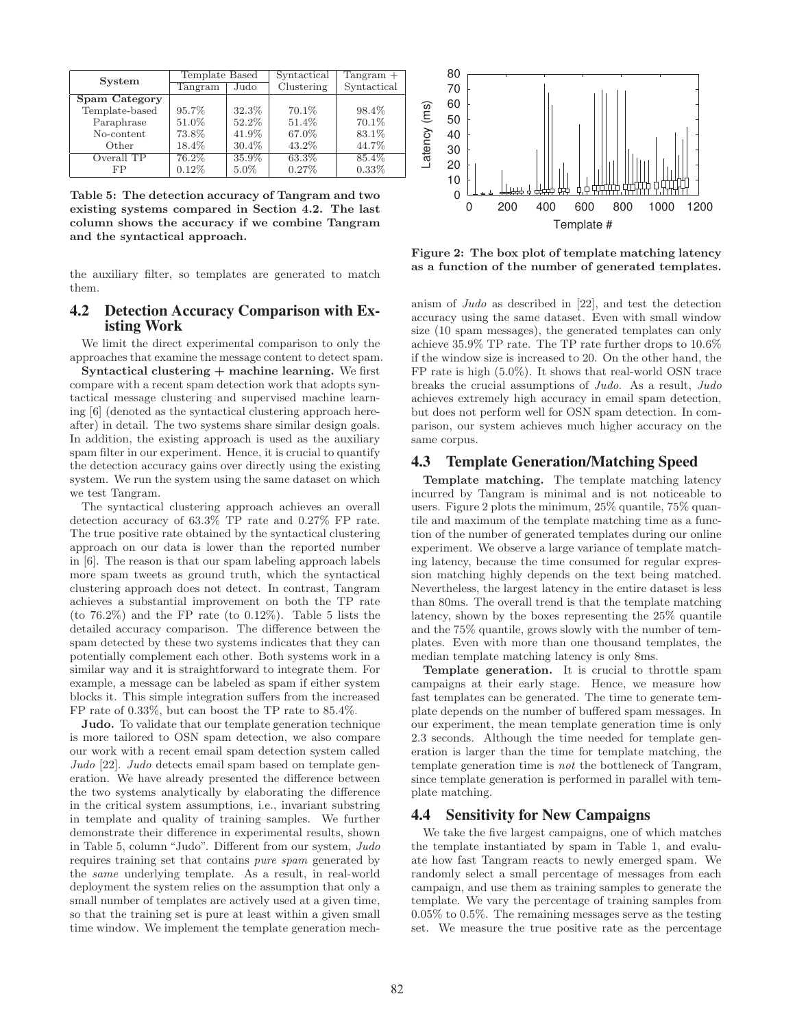| <b>System</b>  | Template Based |         | Syntactical | $Tangram +$ |
|----------------|----------------|---------|-------------|-------------|
|                | Tangram        | Judo    | Clustering  | Syntactical |
| Spam Category  |                |         |             |             |
| Template-based | 95.7%          | 32.3%   | 70.1\%      | 98.4%       |
| Paraphrase     | 51.0%          | 52.2%   | 51.4%       | 70.1%       |
| No-content     | 73.8%          | 41.9%   | 67.0%       | 83.1%       |
| Other          | 18.4%          | 30.4%   | 43.2%       | 44.7%       |
| Overall TP     | $76.2\%$       | 35.9%   | 63.3%       | 85.4%       |
| FP             | $0.12\%$       | $5.0\%$ | $0.27\%$    | $0.33\%$    |

**Table 5: The detection accuracy of Tangram and two existing systems compared in Section 4.2. The last column shows the accuracy if we combine Tangram and the syntactical approach.**

the auxiliary filter, so templates are generated to match them.

## **4.2 Detection Accuracy Comparison with Existing Work**

We limit the direct experimental comparison to only the approaches that examine the message content to detect spam.

**Syntactical clustering + machine learning.** We first compare with a recent spam detection work that adopts syntactical message clustering and supervised machine learning [6] (denoted as the syntactical clustering approach hereafter) in detail. The two systems share similar design goals. In addition, the existing approach is used as the auxiliary spam filter in our experiment. Hence, it is crucial to quantify the detection accuracy gains over directly using the existing system. We run the system using the same dataset on which we test Tangram.

The syntactical clustering approach achieves an overall detection accuracy of 63.3% TP rate and 0.27% FP rate. The true positive rate obtained by the syntactical clustering approach on our data is lower than the reported number in [6]. The reason is that our spam labeling approach labels more spam tweets as ground truth, which the syntactical clustering approach does not detect. In contrast, Tangram achieves a substantial improvement on both the TP rate (to 76.2%) and the FP rate (to 0.12%). Table 5 lists the detailed accuracy comparison. The difference between the spam detected by these two systems indicates that they can potentially complement each other. Both systems work in a similar way and it is straightforward to integrate them. For example, a message can be labeled as spam if either system blocks it. This simple integration suffers from the increased FP rate of 0.33%, but can boost the TP rate to 85.4%.

**Judo.** To validate that our template generation technique is more tailored to OSN spam detection, we also compare our work with a recent email spam detection system called Judo [22]. Judo detects email spam based on template generation. We have already presented the difference between the two systems analytically by elaborating the difference in the critical system assumptions, i.e., invariant substring in template and quality of training samples. We further demonstrate their difference in experimental results, shown in Table 5, column "Judo". Different from our system, Judo requires training set that contains pure spam generated by the same underlying template. As a result, in real-world deployment the system relies on the assumption that only a small number of templates are actively used at a given time, so that the training set is pure at least within a given small time window. We implement the template generation mech-



**Figure 2: The box plot of template matching latency as a function of the number of generated templates.**

anism of Judo as described in [22], and test the detection accuracy using the same dataset. Even with small window size (10 spam messages), the generated templates can only achieve 35.9% TP rate. The TP rate further drops to 10.6% if the window size is increased to 20. On the other hand, the FP rate is high (5.0%). It shows that real-world OSN trace breaks the crucial assumptions of Judo. As a result, Judo achieves extremely high accuracy in email spam detection, but does not perform well for OSN spam detection. In comparison, our system achieves much higher accuracy on the same corpus.

#### **4.3 Template Generation/Matching Speed**

**Template matching.** The template matching latency incurred by Tangram is minimal and is not noticeable to users. Figure 2 plots the minimum, 25% quantile, 75% quantile and maximum of the template matching time as a function of the number of generated templates during our online experiment. We observe a large variance of template matching latency, because the time consumed for regular expression matching highly depends on the text being matched. Nevertheless, the largest latency in the entire dataset is less than 80ms. The overall trend is that the template matching latency, shown by the boxes representing the 25% quantile and the 75% quantile, grows slowly with the number of templates. Even with more than one thousand templates, the median template matching latency is only 8ms.

**Template generation.** It is crucial to throttle spam campaigns at their early stage. Hence, we measure how fast templates can be generated. The time to generate template depends on the number of buffered spam messages. In our experiment, the mean template generation time is only 2.3 seconds. Although the time needed for template generation is larger than the time for template matching, the template generation time is not the bottleneck of Tangram, since template generation is performed in parallel with template matching.

#### **4.4 Sensitivity for New Campaigns**

We take the five largest campaigns, one of which matches the template instantiated by spam in Table 1, and evaluate how fast Tangram reacts to newly emerged spam. We randomly select a small percentage of messages from each campaign, and use them as training samples to generate the template. We vary the percentage of training samples from 0.05% to 0.5%. The remaining messages serve as the testing set. We measure the true positive rate as the percentage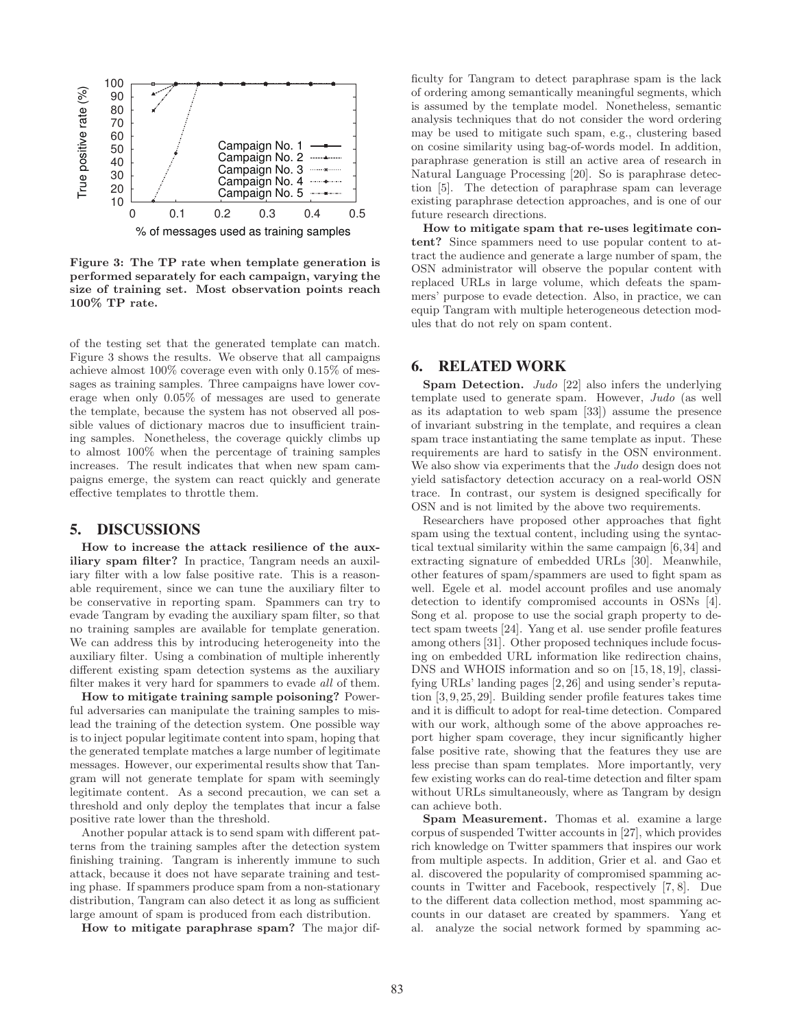

**Figure 3: The TP rate when template generation is performed separately for each campaign, varying the size of training set. Most observation points reach 100% TP rate.**

of the testing set that the generated template can match. Figure 3 shows the results. We observe that all campaigns achieve almost 100% coverage even with only 0.15% of messages as training samples. Three campaigns have lower coverage when only 0.05% of messages are used to generate the template, because the system has not observed all possible values of dictionary macros due to insufficient training samples. Nonetheless, the coverage quickly climbs up to almost 100% when the percentage of training samples increases. The result indicates that when new spam campaigns emerge, the system can react quickly and generate effective templates to throttle them.

#### **5. DISCUSSIONS**

**How to increase the attack resilience of the auxiliary spam filter?** In practice, Tangram needs an auxiliary filter with a low false positive rate. This is a reasonable requirement, since we can tune the auxiliary filter to be conservative in reporting spam. Spammers can try to evade Tangram by evading the auxiliary spam filter, so that no training samples are available for template generation. We can address this by introducing heterogeneity into the auxiliary filter. Using a combination of multiple inherently different existing spam detection systems as the auxiliary filter makes it very hard for spammers to evade all of them.

**How to mitigate training sample poisoning?** Powerful adversaries can manipulate the training samples to mislead the training of the detection system. One possible way is to inject popular legitimate content into spam, hoping that the generated template matches a large number of legitimate messages. However, our experimental results show that Tangram will not generate template for spam with seemingly legitimate content. As a second precaution, we can set a threshold and only deploy the templates that incur a false positive rate lower than the threshold.

Another popular attack is to send spam with different patterns from the training samples after the detection system finishing training. Tangram is inherently immune to such attack, because it does not have separate training and testing phase. If spammers produce spam from a non-stationary distribution, Tangram can also detect it as long as sufficient large amount of spam is produced from each distribution.

**How to mitigate paraphrase spam?** The major dif-

ficulty for Tangram to detect paraphrase spam is the lack of ordering among semantically meaningful segments, which is assumed by the template model. Nonetheless, semantic analysis techniques that do not consider the word ordering may be used to mitigate such spam, e.g., clustering based on cosine similarity using bag-of-words model. In addition, paraphrase generation is still an active area of research in Natural Language Processing [20]. So is paraphrase detection [5]. The detection of paraphrase spam can leverage existing paraphrase detection approaches, and is one of our future research directions.

**How to mitigate spam that re-uses legitimate content?** Since spammers need to use popular content to attract the audience and generate a large number of spam, the OSN administrator will observe the popular content with replaced URLs in large volume, which defeats the spammers' purpose to evade detection. Also, in practice, we can equip Tangram with multiple heterogeneous detection modules that do not rely on spam content.

#### **6. RELATED WORK**

**Spam Detection.** Judo [22] also infers the underlying template used to generate spam. However, Judo (as well as its adaptation to web spam [33]) assume the presence of invariant substring in the template, and requires a clean spam trace instantiating the same template as input. These requirements are hard to satisfy in the OSN environment. We also show via experiments that the *Judo* design does not yield satisfactory detection accuracy on a real-world OSN trace. In contrast, our system is designed specifically for OSN and is not limited by the above two requirements.

Researchers have proposed other approaches that fight spam using the textual content, including using the syntactical textual similarity within the same campaign [6,34] and extracting signature of embedded URLs [30]. Meanwhile, other features of spam/spammers are used to fight spam as well. Egele et al. model account profiles and use anomaly detection to identify compromised accounts in OSNs [4]. Song et al. propose to use the social graph property to detect spam tweets [24]. Yang et al. use sender profile features among others [31]. Other proposed techniques include focusing on embedded URL information like redirection chains, DNS and WHOIS information and so on [15, 18, 19], classifying URLs' landing pages [2, 26] and using sender's reputation [3, 9, 25, 29]. Building sender profile features takes time and it is difficult to adopt for real-time detection. Compared with our work, although some of the above approaches report higher spam coverage, they incur significantly higher false positive rate, showing that the features they use are less precise than spam templates. More importantly, very few existing works can do real-time detection and filter spam without URLs simultaneously, where as Tangram by design can achieve both.

**Spam Measurement.** Thomas et al. examine a large corpus of suspended Twitter accounts in [27], which provides rich knowledge on Twitter spammers that inspires our work from multiple aspects. In addition, Grier et al. and Gao et al. discovered the popularity of compromised spamming accounts in Twitter and Facebook, respectively [7, 8]. Due to the different data collection method, most spamming accounts in our dataset are created by spammers. Yang et al. analyze the social network formed by spamming ac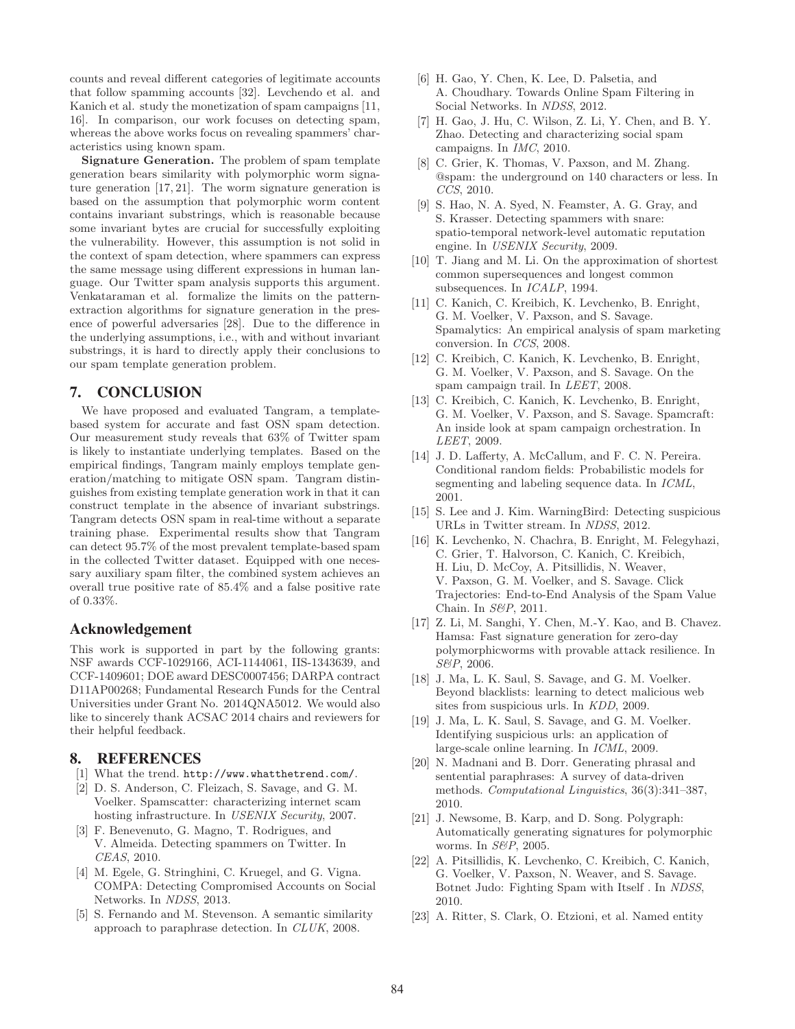counts and reveal different categories of legitimate accounts that follow spamming accounts [32]. Levchendo et al. and Kanich et al. study the monetization of spam campaigns [11, 16]. In comparison, our work focuses on detecting spam, whereas the above works focus on revealing spammers' characteristics using known spam.

**Signature Generation.** The problem of spam template generation bears similarity with polymorphic worm signature generation [17, 21]. The worm signature generation is based on the assumption that polymorphic worm content contains invariant substrings, which is reasonable because some invariant bytes are crucial for successfully exploiting the vulnerability. However, this assumption is not solid in the context of spam detection, where spammers can express the same message using different expressions in human language. Our Twitter spam analysis supports this argument. Venkataraman et al. formalize the limits on the patternextraction algorithms for signature generation in the presence of powerful adversaries [28]. Due to the difference in the underlying assumptions, i.e., with and without invariant substrings, it is hard to directly apply their conclusions to our spam template generation problem.

#### **7. CONCLUSION**

We have proposed and evaluated Tangram, a templatebased system for accurate and fast OSN spam detection. Our measurement study reveals that 63% of Twitter spam is likely to instantiate underlying templates. Based on the empirical findings, Tangram mainly employs template generation/matching to mitigate OSN spam. Tangram distinguishes from existing template generation work in that it can construct template in the absence of invariant substrings. Tangram detects OSN spam in real-time without a separate training phase. Experimental results show that Tangram can detect 95.7% of the most prevalent template-based spam in the collected Twitter dataset. Equipped with one necessary auxiliary spam filter, the combined system achieves an overall true positive rate of 85.4% and a false positive rate of 0.33%.

## **Acknowledgement**

This work is supported in part by the following grants: NSF awards CCF-1029166, ACI-1144061, IIS-1343639, and CCF-1409601; DOE award DESC0007456; DARPA contract D11AP00268; Fundamental Research Funds for the Central Universities under Grant No. 2014QNA5012. We would also like to sincerely thank ACSAC 2014 chairs and reviewers for their helpful feedback.

## **8. REFERENCES**

- [1] What the trend. http://www.whatthetrend.com/.
- [2] D. S. Anderson, C. Fleizach, S. Savage, and G. M. Voelker. Spamscatter: characterizing internet scam hosting infrastructure. In USENIX Security, 2007.
- [3] F. Benevenuto, G. Magno, T. Rodrigues, and V. Almeida. Detecting spammers on Twitter. In CEAS, 2010.
- [4] M. Egele, G. Stringhini, C. Kruegel, and G. Vigna. COMPA: Detecting Compromised Accounts on Social Networks. In NDSS, 2013.
- [5] S. Fernando and M. Stevenson. A semantic similarity approach to paraphrase detection. In CLUK, 2008.
- [6] H. Gao, Y. Chen, K. Lee, D. Palsetia, and A. Choudhary. Towards Online Spam Filtering in Social Networks. In NDSS, 2012.
- [7] H. Gao, J. Hu, C. Wilson, Z. Li, Y. Chen, and B. Y. Zhao. Detecting and characterizing social spam campaigns. In IMC, 2010.
- [8] C. Grier, K. Thomas, V. Paxson, and M. Zhang. @spam: the underground on 140 characters or less. In CCS, 2010.
- [9] S. Hao, N. A. Syed, N. Feamster, A. G. Gray, and S. Krasser. Detecting spammers with snare: spatio-temporal network-level automatic reputation engine. In USENIX Security, 2009.
- [10] T. Jiang and M. Li. On the approximation of shortest common supersequences and longest common subsequences. In ICALP, 1994.
- [11] C. Kanich, C. Kreibich, K. Levchenko, B. Enright, G. M. Voelker, V. Paxson, and S. Savage. Spamalytics: An empirical analysis of spam marketing conversion. In CCS, 2008.
- [12] C. Kreibich, C. Kanich, K. Levchenko, B. Enright, G. M. Voelker, V. Paxson, and S. Savage. On the spam campaign trail. In LEET, 2008.
- [13] C. Kreibich, C. Kanich, K. Levchenko, B. Enright, G. M. Voelker, V. Paxson, and S. Savage. Spamcraft: An inside look at spam campaign orchestration. In LEET, 2009.
- [14] J. D. Lafferty, A. McCallum, and F. C. N. Pereira. Conditional random fields: Probabilistic models for segmenting and labeling sequence data. In ICML, 2001.
- [15] S. Lee and J. Kim. WarningBird: Detecting suspicious URLs in Twitter stream. In NDSS, 2012.
- [16] K. Levchenko, N. Chachra, B. Enright, M. Felegyhazi, C. Grier, T. Halvorson, C. Kanich, C. Kreibich, H. Liu, D. McCoy, A. Pitsillidis, N. Weaver, V. Paxson, G. M. Voelker, and S. Savage. Click Trajectories: End-to-End Analysis of the Spam Value Chain. In S&P, 2011.
- [17] Z. Li, M. Sanghi, Y. Chen, M.-Y. Kao, and B. Chavez. Hamsa: Fast signature generation for zero-day polymorphicworms with provable attack resilience. In S&P, 2006.
- [18] J. Ma, L. K. Saul, S. Savage, and G. M. Voelker. Beyond blacklists: learning to detect malicious web sites from suspicious urls. In KDD, 2009.
- [19] J. Ma, L. K. Saul, S. Savage, and G. M. Voelker. Identifying suspicious urls: an application of large-scale online learning. In ICML, 2009.
- [20] N. Madnani and B. Dorr. Generating phrasal and sentential paraphrases: A survey of data-driven methods. Computational Linguistics, 36(3):341–387, 2010.
- [21] J. Newsome, B. Karp, and D. Song. Polygraph: Automatically generating signatures for polymorphic worms. In *S&P*, 2005.
- [22] A. Pitsillidis, K. Levchenko, C. Kreibich, C. Kanich, G. Voelker, V. Paxson, N. Weaver, and S. Savage. Botnet Judo: Fighting Spam with Itself . In NDSS, 2010.
- [23] A. Ritter, S. Clark, O. Etzioni, et al. Named entity